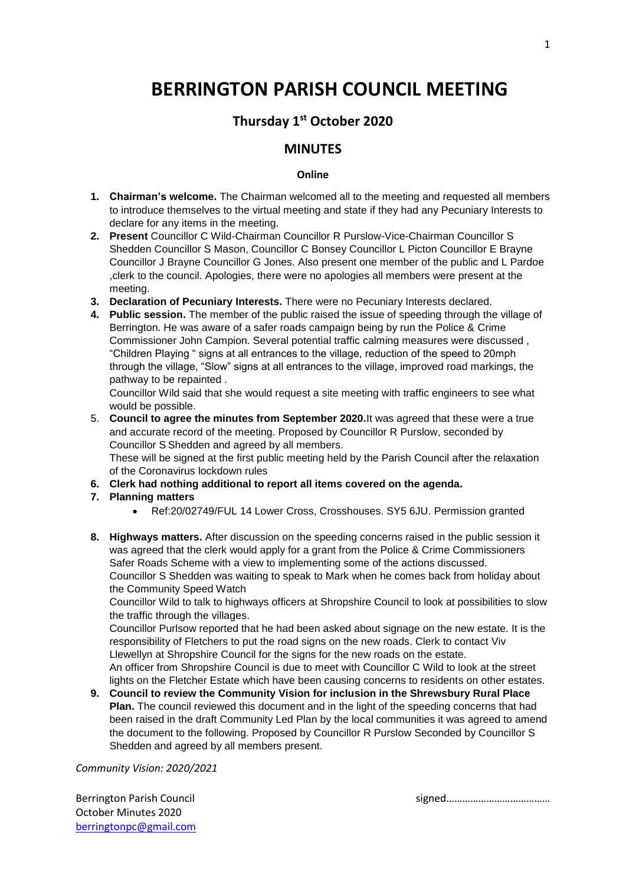# **BERRINGTON PARISH COUNCIL MEETING**

# **Thursday 1 st October 2020**

## **MINUTES**

#### **Online**

- **1. Chairman's welcome.** The Chairman welcomed all to the meeting and requested all members to introduce themselves to the virtual meeting and state if they had any Pecuniary Interests to declare for any items in the meeting.
- **2. Present** Councillor C Wild-Chairman Councillor R Purslow-Vice-Chairman Councillor S Shedden Councillor S Mason, Councillor C Bonsey Councillor L Picton Councillor E Brayne Councillor J Brayne Councillor G Jones. Also present one member of the public and L Pardoe ,clerk to the council. Apologies, there were no apologies all members were present at the meeting.
- **3. Declaration of Pecuniary Interests.** There were no Pecuniary Interests declared.
- **4. Public session.** The member of the public raised the issue of speeding through the village of Berrington. He was aware of a safer roads campaign being by run the Police & Crime Commissioner John Campion. Several potential traffic calming measures were discussed , "Children Playing " signs at all entrances to the village, reduction of the speed to 20mph through the village, "Slow" signs at all entrances to the village, improved road markings, the pathway to be repainted .

Councillor Wild said that she would request a site meeting with traffic engineers to see what would be possible.

5. **Council to agree the minutes from September 2020.**It was agreed that these were a true and accurate record of the meeting. Proposed by Councillor R Purslow, seconded by Councillor S Shedden and agreed by all members.

These will be signed at the first public meeting held by the Parish Council after the relaxation of the Coronavirus lockdown rules

- **6. Clerk had nothing additional to report all items covered on the agenda.**
- **7. Planning matters**
	- Ref:20/02749/FUL 14 Lower Cross, Crosshouses. SY5 6JU. Permission granted
- **8. Highways matters.** After discussion on the speeding concerns raised in the public session it was agreed that the clerk would apply for a grant from the Police & Crime Commissioners Safer Roads Scheme with a view to implementing some of the actions discussed. Councillor S Shedden was waiting to speak to Mark when he comes back from holiday about the Community Speed Watch

Councillor Wild to talk to highways officers at Shropshire Council to look at possibilities to slow the traffic through the villages.

Councillor Purlsow reported that he had been asked about signage on the new estate. It is the responsibility of Fletchers to put the road signs on the new roads. Clerk to contact Viv Llewellyn at Shropshire Council for the signs for the new roads on the estate.

An officer from Shropshire Council is due to meet with Councillor C Wild to look at the street lights on the Fletcher Estate which have been causing concerns to residents on other estates.

**9. Council to review the Community Vision for inclusion in the Shrewsbury Rural Place Plan.** The council reviewed this document and in the light of the speeding concerns that had been raised in the draft Community Led Plan by the local communities it was agreed to amend the document to the following. Proposed by Councillor R Purslow Seconded by Councillor S Shedden and agreed by all members present.

*Community Vision: 2020/2021*

October Minutes 2020 [berringtonpc@gmail.com](mailto:berringtonpc@gmail.com)

Berrington Parish Council and the signed signed signed signed signed signed and signed signed and signed and signed and signed and signed and signed and signed and signed and signed and signed and signed and signed and sig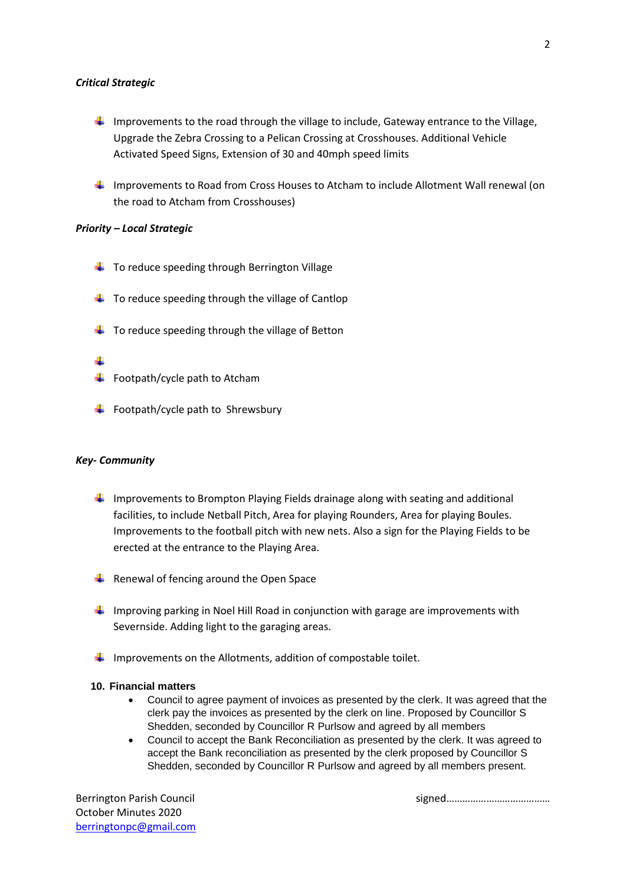#### *Critical Strategic*

- Improvements to the road through the village to include, Gateway entrance to the Village, Upgrade the Zebra Crossing to a Pelican Crossing at Crosshouses. Additional Vehicle Activated Speed Signs, Extension of 30 and 40mph speed limits
- Improvements to Road from Cross Houses to Atcham to include Allotment Wall renewal (on the road to Atcham from Crosshouses)

#### *Priority – Local Strategic*

- $\downarrow$  To reduce speeding through Berrington Village
- $\downarrow$  To reduce speeding through the village of Cantlop
- $\ddot{\bullet}$  To reduce speeding through the village of Betton

#### ÷

- $\ddot{+}$  Footpath/cycle path to Atcham
- $\ddot{\bullet}$  Footpath/cycle path to Shrewsbury

#### *Key- Community*

- Improvements to Brompton Playing Fields drainage along with seating and additional facilities, to include Netball Pitch, Area for playing Rounders, Area for playing Boules. Improvements to the football pitch with new nets. Also a sign for the Playing Fields to be erected at the entrance to the Playing Area.
- $\bigstar$  Renewal of fencing around the Open Space
- Improving parking in Noel Hill Road in conjunction with garage are improvements with Severnside. Adding light to the garaging areas.
- Improvements on the Allotments, addition of compostable toilet.

#### **10. Financial matters**

- Council to agree payment of invoices as presented by the clerk. It was agreed that the clerk pay the invoices as presented by the clerk on line. Proposed by Councillor S Shedden, seconded by Councillor R Purlsow and agreed by all members
- Council to accept the Bank Reconciliation as presented by the clerk. It was agreed to accept the Bank reconciliation as presented by the clerk proposed by Councillor S Shedden, seconded by Councillor R Purlsow and agreed by all members present.

October Minutes 2020 [berringtonpc@gmail.com](mailto:berringtonpc@gmail.com)

Berrington Parish Council and the signed signed signed signed signed signed and signed and signed and signed and signed and signed and signed and signed and signed and signed and signed and signed and signed and signed and